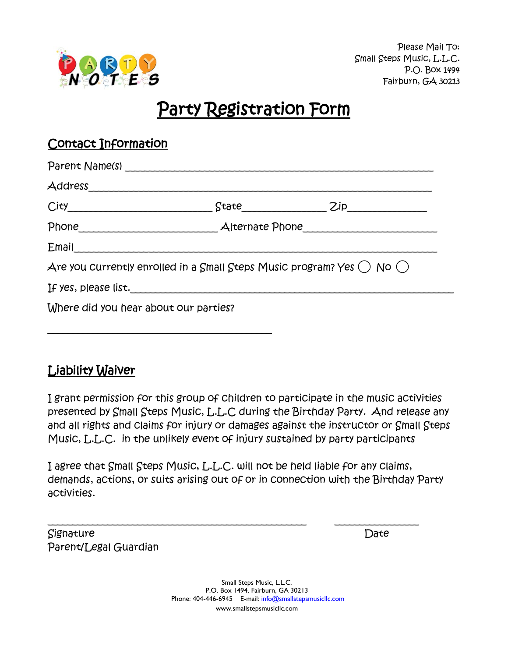

# Party Registration Form

## Contact Information

|                                                                           |  | $State$ $Zip$ |  |
|---------------------------------------------------------------------------|--|---------------|--|
|                                                                           |  |               |  |
| Email                                                                     |  |               |  |
| Are you currently enrolled in a Small Steps Music program? Yes ( ) No ( ) |  |               |  |
|                                                                           |  |               |  |
| Where did you hear about our parties?                                     |  |               |  |

# Liability Waiver

I grant permission for this group of children to participate in the music activities presented by Small Steps Music, L.L.C during the Birthday Party. And release any and all rights and claims for injury or damages against the instructor or Small Steps Music, L.L.C. in the unlikely event of injury sustained by party participants

I agree that Small Steps Music, L.L.C. will not be held liable for any claims, demands, actions, or suits arising out of or in connection with the Birthday Party activities.

\_\_\_\_\_\_\_\_\_\_\_\_\_\_\_\_\_\_\_\_\_\_\_\_\_\_\_\_\_\_\_\_\_\_\_\_\_\_\_\_\_\_\_\_\_\_\_\_\_\_\_\_ \_\_\_\_\_\_\_\_\_\_\_\_\_\_\_\_\_

Signature **Date** Parent/Legal Guardian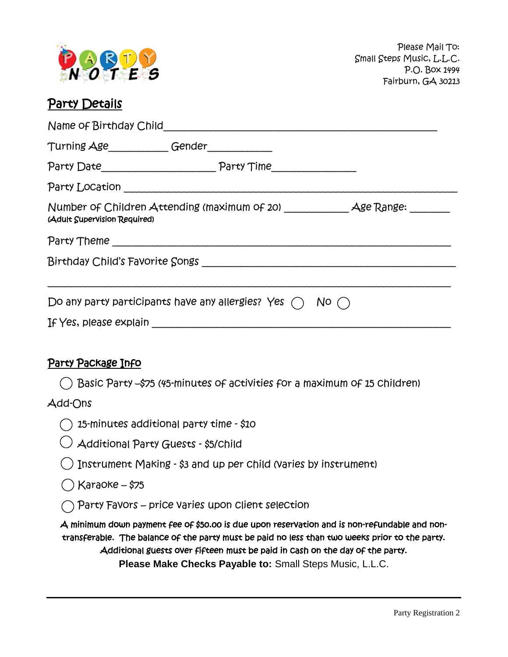

### Party Details

| Turning Age___________Gender____________ |                                                                          |  |  |  |  |
|------------------------------------------|--------------------------------------------------------------------------|--|--|--|--|
|                                          |                                                                          |  |  |  |  |
|                                          |                                                                          |  |  |  |  |
| (Adult Supervision Required)             |                                                                          |  |  |  |  |
|                                          |                                                                          |  |  |  |  |
|                                          |                                                                          |  |  |  |  |
|                                          |                                                                          |  |  |  |  |
|                                          | Do any party participants have any allergies? Yes $\bigcap$ No $\bigcap$ |  |  |  |  |
|                                          |                                                                          |  |  |  |  |

#### Party Package Info

Basic Party –\$75 (45-minutes of activities for a maximum of 15 children)

#### Add-Ons

|  | $\bigcirc$ 15-minutes additional party time - \$10 |  |  |  |  |
|--|----------------------------------------------------|--|--|--|--|
|--|----------------------------------------------------|--|--|--|--|

| $\cup$ Additional Party Guests - \$5/Child |  |  |
|--------------------------------------------|--|--|

| $\bigcirc$ Instrument Making - \$3 and up per Child (Varies by instrument) |  |  |
|----------------------------------------------------------------------------|--|--|
|                                                                            |  |  |

#### $\bigcap$  Karaoke – \$75

 $\bigcap$  Party Favors – price varies upon client selection

A minimum down payment fee of \$50.00 is due upon reservation and is non-refundable and nontransferable. The balance of the party must be paid no less than two weeks prior to the party. Additional guests over fifteen must be paid in cash on the day of the party. **Please Make Checks Payable to:** Small Steps Music, L.L.C.